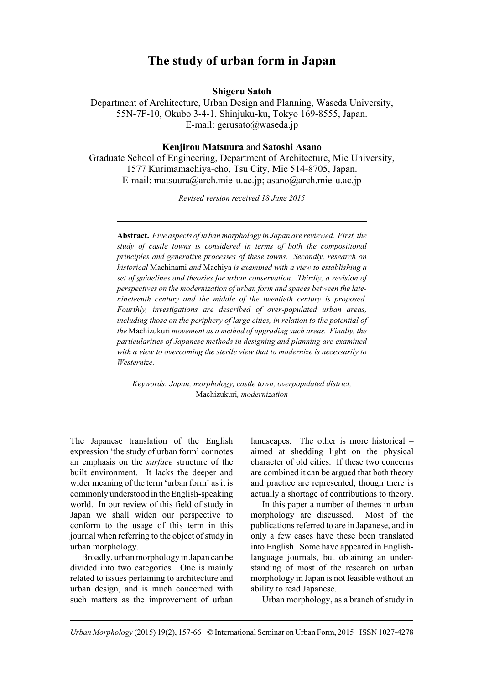# **The study of urban form in Japan**

**Shigeru Satoh**

Department of Architecture, Urban Design and Planning, Waseda University, 55N-7F-10, Okubo 3-4-1. Shinjuku-ku, Tokyo 169-8555, Japan. E-mail: gerusato@waseda.jp

#### **Kenjirou Matsuura** and **Satoshi Asano**

Graduate School of Engineering, Department of Architecture, Mie University, 1577 Kurimamachiya-cho, Tsu City, Mie 514-8705, Japan. E-mail: matsuura@arch.mie-u.ac.jp; asano@arch.mie-u.ac.jp

*Revised version received 18 June 2015*

**Abstract.** *Five aspects of urban morphology in Japan are reviewed. First, the study of castle towns is considered in terms of both the compositional principles and generative processes of these towns. Secondly, research on historical* Machinami *and* Machiya *is examined with a view to establishing a set of guidelines and theories for urban conservation. Thirdly, a revision of perspectives on the modernization of urban form and spaces between the latenineteenth century and the middle of the twentieth century is proposed. Fourthly, investigations are described of over-populated urban areas, including those on the periphery of large cities, in relation to the potential of the* Machizukuri *movement as a method of upgrading such areas. Finally, the particularities of Japanese methods in designing and planning are examined with a view to overcoming the sterile view that to modernize is necessarily to Westernize.*

*Keywords: Japan, morphology, castle town, overpopulated district,* Machizukuri*, modernization*

The Japanese translation of the English expression 'the study of urban form' connotes an emphasis on the *surface* structure of the built environment. It lacks the deeper and wider meaning of the term 'urban form' as it is commonly understood in the English-speaking world. In our review of this field of study in Japan we shall widen our perspective to conform to the usage of this term in this journal when referring to the object of study in urban morphology.

Broadly, urban morphology in Japan can be divided into two categories. One is mainly related to issues pertaining to architecture and urban design, and is much concerned with such matters as the improvement of urban landscapes. The other is more historical – aimed at shedding light on the physical character of old cities. If these two concerns are combined it can be argued that both theory and practice are represented, though there is actually a shortage of contributions to theory.

In this paper a number of themes in urban morphology are discussed. Most of the publications referred to are in Japanese, and in only a few cases have these been translated into English. Some have appeared in Englishlanguage journals, but obtaining an understanding of most of the research on urban morphology in Japan is not feasible without an ability to read Japanese.

Urban morphology, as a branch of study in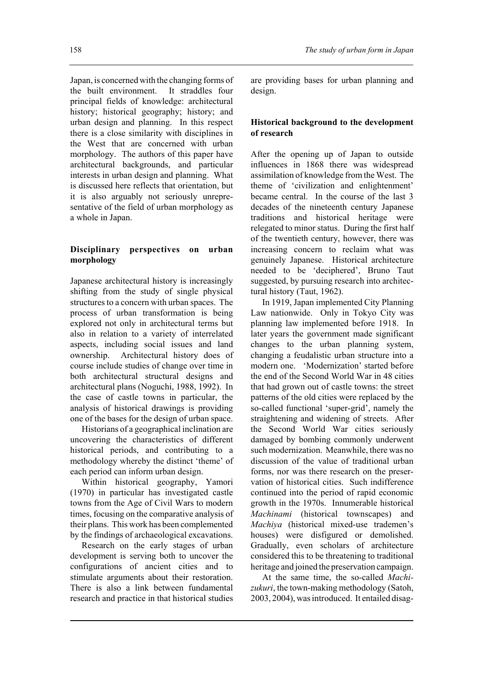Japan, is concerned with the changing forms of the built environment. It straddles four principal fields of knowledge: architectural history; historical geography; history; and urban design and planning. In this respect there is a close similarity with disciplines in the West that are concerned with urban morphology. The authors of this paper have architectural backgrounds, and particular interests in urban design and planning. What is discussed here reflects that orientation, but it is also arguably not seriously unrepresentative of the field of urban morphology as a whole in Japan.

# **Disciplinary perspectives on urban morphology**

Japanese architectural history is increasingly shifting from the study of single physical structures to a concern with urban spaces. The process of urban transformation is being explored not only in architectural terms but also in relation to a variety of interrelated aspects, including social issues and land ownership. Architectural history does of course include studies of change over time in both architectural structural designs and architectural plans (Noguchi, 1988, 1992). In the case of castle towns in particular, the analysis of historical drawings is providing one of the bases for the design of urban space.

Historians of a geographical inclination are uncovering the characteristics of different historical periods, and contributing to a methodology whereby the distinct 'theme' of each period can inform urban design.

Within historical geography, Yamori (1970) in particular has investigated castle towns from the Age of Civil Wars to modern times, focusing on the comparative analysis of their plans. This work has been complemented by the findings of archaeological excavations.

Research on the early stages of urban development is serving both to uncover the configurations of ancient cities and to stimulate arguments about their restoration. There is also a link between fundamental research and practice in that historical studies

are providing bases for urban planning and design.

## **Historical background to the development of research**

After the opening up of Japan to outside influences in 1868 there was widespread assimilation of knowledge from the West. The theme of 'civilization and enlightenment' became central. In the course of the last 3 decades of the nineteenth century Japanese traditions and historical heritage were relegated to minor status. During the first half of the twentieth century, however, there was increasing concern to reclaim what was genuinely Japanese. Historical architecture needed to be 'deciphered', Bruno Taut suggested, by pursuing research into architectural history (Taut, 1962).

In 1919, Japan implemented City Planning Law nationwide. Only in Tokyo City was planning law implemented before 1918. In later years the government made significant changes to the urban planning system, changing a feudalistic urban structure into a modern one. 'Modernization' started before the end of the Second World War in 48 cities that had grown out of castle towns: the street patterns of the old cities were replaced by the so-called functional 'super-grid', namely the straightening and widening of streets. After the Second World War cities seriously damaged by bombing commonly underwent such modernization. Meanwhile, there was no discussion of the value of traditional urban forms, nor was there research on the preservation of historical cities. Such indifference continued into the period of rapid economic growth in the 1970s. Innumerable historical *Machinami* (historical townscapes) and *Machiya* (historical mixed-use trademen's houses) were disfigured or demolished. Gradually, even scholars of architecture considered this to be threatening to traditional heritage and joined the preservation campaign.

At the same time, the so-called *Machizukuri*, the town-making methodology (Satoh, 2003, 2004), was introduced. It entailed disag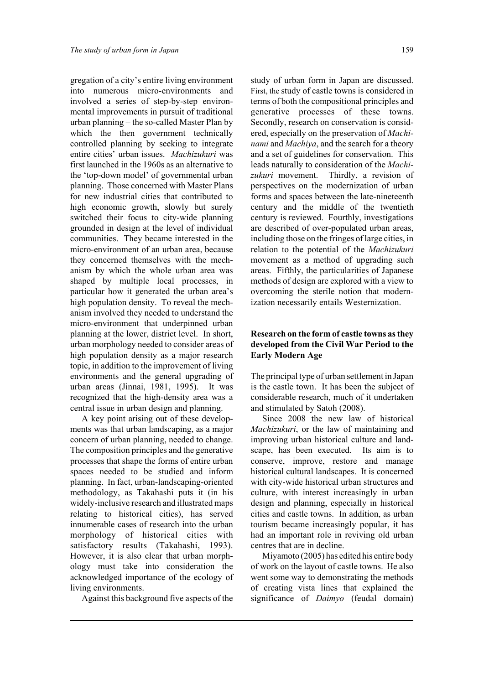gregation of a city's entire living environment into numerous micro-environments and involved a series of step-by-step environmental improvements in pursuit of traditional urban planning – the so-called Master Plan by which the then government technically controlled planning by seeking to integrate entire cities' urban issues. *Machizukuri* was first launched in the 1960s as an alternative to the 'top-down model' of governmental urban planning. Those concerned with Master Plans for new industrial cities that contributed to high economic growth, slowly but surely switched their focus to city-wide planning grounded in design at the level of individual communities. They became interested in the micro-environment of an urban area, because they concerned themselves with the mechanism by which the whole urban area was shaped by multiple local processes, in particular how it generated the urban area's high population density. To reveal the mechanism involved they needed to understand the micro-environment that underpinned urban planning at the lower, district level. In short, urban morphology needed to consider areas of high population density as a major research topic, in addition to the improvement of living environments and the general upgrading of urban areas (Jinnai, 1981, 1995). It was recognized that the high-density area was a central issue in urban design and planning.

A key point arising out of these developments was that urban landscaping, as a major concern of urban planning, needed to change. The composition principles and the generative processes that shape the forms of entire urban spaces needed to be studied and inform planning. In fact, urban-landscaping-oriented methodology, as Takahashi puts it (in his widely-inclusive research and illustrated maps relating to historical cities), has served innumerable cases of research into the urban morphology of historical cities with satisfactory results (Takahashi, 1993). However, it is also clear that urban morphology must take into consideration the acknowledged importance of the ecology of living environments.

Against this background five aspects of the

study of urban form in Japan are discussed. First, the study of castle towns is considered in terms of both the compositional principles and generative processes of these towns. Secondly, research on conservation is considered, especially on the preservation of *Machinami* and *Machiya*, and the search for a theory and a set of guidelines for conservation. This leads naturally to consideration of the *Machizukuri* movement. Thirdly, a revision of perspectives on the modernization of urban forms and spaces between the late-nineteenth century and the middle of the twentieth century is reviewed. Fourthly, investigations are described of over-populated urban areas, including those on the fringes of large cities, in relation to the potential of the *Machizukuri* movement as a method of upgrading such areas. Fifthly, the particularities of Japanese methods of design are explored with a view to overcoming the sterile notion that modernization necessarily entails Westernization.

## **Research on the form of castle towns as they developed from the Civil War Period to the Early Modern Age**

The principal type of urban settlement in Japan is the castle town. It has been the subject of considerable research, much of it undertaken and stimulated by Satoh (2008).

Since 2008 the new law of historical *Machizukuri*, or the law of maintaining and improving urban historical culture and landscape, has been executed. Its aim is to conserve, improve, restore and manage historical cultural landscapes. It is concerned with city-wide historical urban structures and culture, with interest increasingly in urban design and planning, especially in historical cities and castle towns. In addition, as urban tourism became increasingly popular, it has had an important role in reviving old urban centres that are in decline.

Miyamoto (2005) has edited his entire body of work on the layout of castle towns. He also went some way to demonstrating the methods of creating vista lines that explained the significance of *Daimyo* (feudal domain)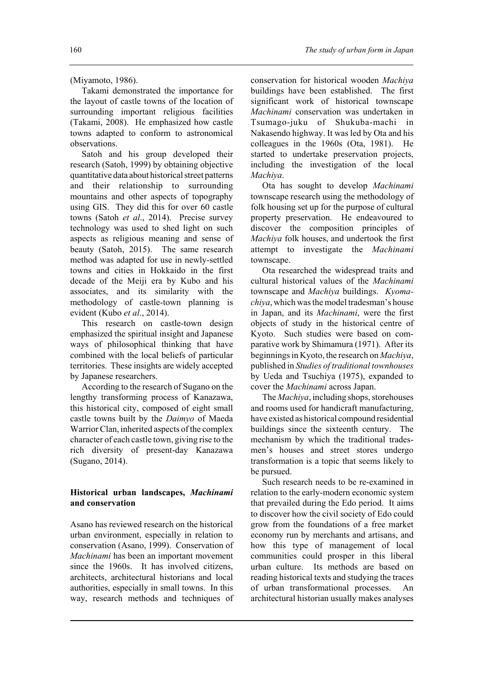(Miyamoto, 1986).

Takami demonstrated the importance for the layout of castle towns of the location of surrounding important religious facilities (Takami, 2008). He emphasized how castle towns adapted to conform to astronomical observations.

Satoh and his group developed their research (Satoh, 1999) by obtaining objective quantitative data about historical street patterns and their relationship to surrounding mountains and other aspects of topography using GIS. They did this for over 60 castle towns (Satoh *et al*., 2014). Precise survey technology was used to shed light on such aspects as religious meaning and sense of beauty (Satoh, 2015). The same research method was adapted for use in newly-settled towns and cities in Hokkaido in the first decade of the Meiji era by Kubo and his associates, and its similarity with the methodology of castle-town planning is evident (Kubo *et al*., 2014).

This research on castle-town design emphasized the spiritual insight and Japanese ways of philosophical thinking that have combined with the local beliefs of particular territories. These insights are widely accepted by Japanese researchers.

According to the research of Sugano on the lengthy transforming process of Kanazawa, this historical city, composed of eight small castle towns built by the *Daimyo* of Maeda Warrior Clan, inherited aspects of the complex character of each castle town, giving rise to the rich diversity of present-day Kanazawa (Sugano, 2014).

## **Historical urban landscapes,** *Machinami* **and conservation**

Asano has reviewed research on the historical urban environment, especially in relation to conservation (Asano, 1999). Conservation of *Machinami* has been an important movement since the 1960s. It has involved citizens, architects, architectural historians and local authorities, especially in small towns. In this way, research methods and techniques of conservation for historical wooden *Machiya* buildings have been established. The first significant work of historical townscape *Machinami* conservation was undertaken in Tsumago-juku of Shukuba-machi in Nakasendo highway. It was led by Ota and his colleagues in the 1960s (Ota, 1981). He started to undertake preservation projects, including the investigation of the local *Machiya*.

Ota has sought to develop *Machinami* townscape research using the methodology of folk housing set up for the purpose of cultural property preservation. He endeavoured to discover the composition principles of *Machiya* folk houses, and undertook the first attempt to investigate the *Machinami* townscape.

Ota researched the widespread traits and cultural historical values of the *Machinami* townscape and *Machiya* buildings. *Kyomachiya*, which was the model tradesman's house in Japan, and its *Machinami*, were the first objects of study in the historical centre of Kyoto. Such studies were based on comparative work by Shimamura (1971). After its beginnings in Kyoto, the research on *Machiya*, published in *Studies of traditional townhouses* by Ueda and Tsuchiya (1975), expanded to cover the *Machinami* across Japan.

The *Machiya*, including shops, storehouses and rooms used for handicraft manufacturing, have existed as historical compound residential buildings since the sixteenth century. The mechanism by which the traditional tradesmen's houses and street stores undergo transformation is a topic that seems likely to be pursued.

Such research needs to be re-examined in relation to the early-modern economic system that prevailed during the Edo period. It aims to discover how the civil society of Edo could grow from the foundations of a free market economy run by merchants and artisans, and how this type of management of local communities could prosper in this liberal urban culture. Its methods are based on reading historical texts and studying the traces of urban transformational processes. An architectural historian usually makes analyses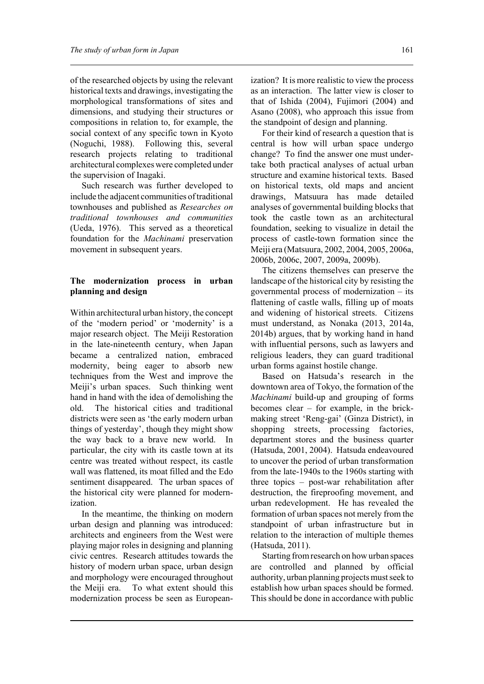of the researched objects by using the relevant historical texts and drawings, investigating the morphological transformations of sites and dimensions, and studying their structures or compositions in relation to, for example, the social context of any specific town in Kyoto (Noguchi, 1988). Following this, several research projects relating to traditional architectural complexes were completed under the supervision of Inagaki.

Such research was further developed to include the adjacent communities of traditional townhouses and published as *Researches on traditional townhouses and communities* (Ueda, 1976). This served as a theoretical foundation for the *Machinami* preservation movement in subsequent years.

## **The modernization process in urban planning and design**

Within architectural urban history, the concept of the 'modern period' or 'modernity' is a major research object. The Meiji Restoration in the late-nineteenth century, when Japan became a centralized nation, embraced modernity, being eager to absorb new techniques from the West and improve the Meiji's urban spaces. Such thinking went hand in hand with the idea of demolishing the old. The historical cities and traditional districts were seen as 'the early modern urban things of yesterday', though they might show the way back to a brave new world. In particular, the city with its castle town at its centre was treated without respect, its castle wall was flattened, its moat filled and the Edo sentiment disappeared. The urban spaces of the historical city were planned for modernization.

In the meantime, the thinking on modern urban design and planning was introduced: architects and engineers from the West were playing major roles in designing and planning civic centres. Research attitudes towards the history of modern urban space, urban design and morphology were encouraged throughout the Meiji era. To what extent should this modernization process be seen as Europeanization? It is more realistic to view the process as an interaction. The latter view is closer to that of Ishida (2004), Fujimori (2004) and Asano (2008), who approach this issue from the standpoint of design and planning.

For their kind of research a question that is central is how will urban space undergo change? To find the answer one must undertake both practical analyses of actual urban structure and examine historical texts. Based on historical texts, old maps and ancient drawings, Matsuura has made detailed analyses of governmental building blocks that took the castle town as an architectural foundation, seeking to visualize in detail the process of castle-town formation since the Meiji era (Matsuura, 2002, 2004, 2005, 2006a, 2006b, 2006c, 2007, 2009a, 2009b).

The citizens themselves can preserve the landscape of the historical city by resisting the governmental process of modernization – its flattening of castle walls, filling up of moats and widening of historical streets. Citizens must understand, as Nonaka (2013, 2014a, 2014b) argues, that by working hand in hand with influential persons, such as lawyers and religious leaders, they can guard traditional urban forms against hostile change.

Based on Hatsuda's research in the downtown area of Tokyo, the formation of the *Machinami* build-up and grouping of forms becomes clear – for example, in the brickmaking street 'Reng-gai' (Ginza District), in shopping streets, processing factories, department stores and the business quarter (Hatsuda, 2001, 2004). Hatsuda endeavoured to uncover the period of urban transformation from the late-1940s to the 1960s starting with three topics – post-war rehabilitation after destruction, the fireproofing movement, and urban redevelopment. He has revealed the formation of urban spaces not merely from the standpoint of urban infrastructure but in relation to the interaction of multiple themes (Hatsuda, 2011).

Starting from research on how urban spaces are controlled and planned by official authority, urban planning projects must seek to establish how urban spaces should be formed. This should be done in accordance with public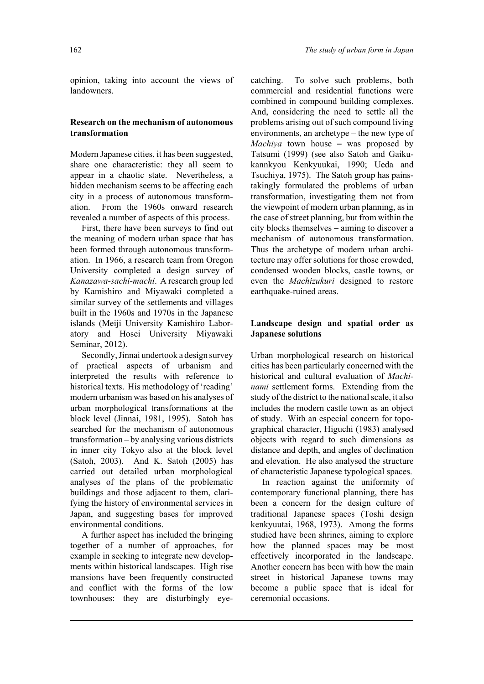opinion, taking into account the views of landowners.

#### **Research on the mechanism of autonomous transformation**

Modern Japanese cities, it has been suggested, share one characteristic: they all seem to appear in a chaotic state. Nevertheless, a hidden mechanism seems to be affecting each city in a process of autonomous transformation. From the 1960s onward research revealed a number of aspects of this process.

First, there have been surveys to find out the meaning of modern urban space that has been formed through autonomous transformation. In 1966, a research team from Oregon University completed a design survey of *Kanazawa-sachi-machi*. A research group led by Kamishiro and Miyawaki completed a similar survey of the settlements and villages built in the 1960s and 1970s in the Japanese islands (Meiji University Kamishiro Laboratory and Hosei University Miyawaki Seminar, 2012).

Secondly, Jinnai undertook a design survey of practical aspects of urbanism and interpreted the results with reference to historical texts. His methodology of 'reading' modern urbanism was based on his analyses of urban morphological transformations at the block level (Jinnai, 1981, 1995). Satoh has searched for the mechanism of autonomous transformation – by analysing various districts in inner city Tokyo also at the block level (Satoh, 2003). And K. Satoh (2005) has carried out detailed urban morphological analyses of the plans of the problematic buildings and those adjacent to them, clarifying the history of environmental services in Japan, and suggesting bases for improved environmental conditions.

A further aspect has included the bringing together of a number of approaches, for example in seeking to integrate new developments within historical landscapes. High rise mansions have been frequently constructed and conflict with the forms of the low townhouses: they are disturbingly eyecatching. To solve such problems, both commercial and residential functions were combined in compound building complexes. And, considering the need to settle all the problems arising out of such compound living environments, an archetype – the new type of *Machiya* town house  $-$  was proposed by Tatsumi (1999) (see also Satoh and Gaikukannkyou Kenkyuukai, 1990; Ueda and Tsuchiya, 1975). The Satoh group has painstakingly formulated the problems of urban transformation, investigating them not from the viewpoint of modern urban planning, as in the case of street planning, but from within the  $city$  blocks themselves  $-$  aiming to discover a mechanism of autonomous transformation. Thus the archetype of modern urban architecture may offer solutions for those crowded, condensed wooden blocks, castle towns, or even the *Machizukuri* designed to restore earthquake-ruined areas.

#### **Landscape design and spatial order as Japanese solutions**

Urban morphological research on historical cities has been particularly concerned with the historical and cultural evaluation of *Machinami* settlement forms. Extending from the study of the district to the national scale, it also includes the modern castle town as an object of study. With an especial concern for topographical character, Higuchi (1983) analysed objects with regard to such dimensions as distance and depth, and angles of declination and elevation. He also analysed the structure of characteristic Japanese typological spaces.

In reaction against the uniformity of contemporary functional planning, there has been a concern for the design culture of traditional Japanese spaces (Toshi design kenkyuutai, 1968, 1973). Among the forms studied have been shrines, aiming to explore how the planned spaces may be most effectively incorporated in the landscape. Another concern has been with how the main street in historical Japanese towns may become a public space that is ideal for ceremonial occasions.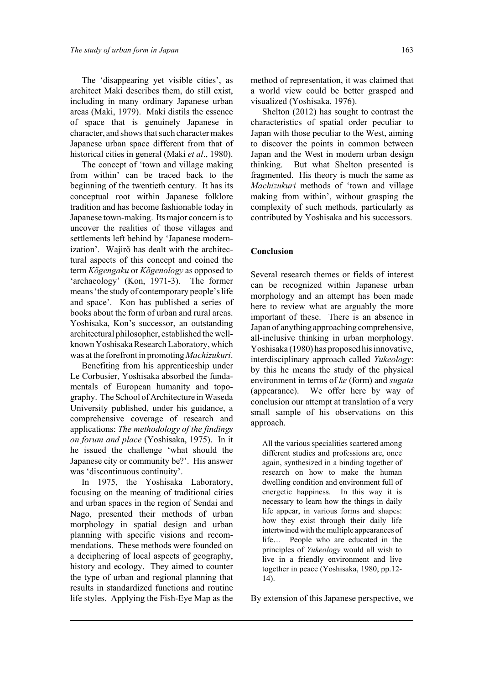The 'disappearing yet visible cities', as architect Maki describes them, do still exist, including in many ordinary Japanese urban areas (Maki, 1979). Maki distils the essence of space that is genuinely Japanese in character, and shows that such character makes Japanese urban space different from that of historical cities in general (Maki *et al*., 1980).

The concept of 'town and village making from within' can be traced back to the beginning of the twentieth century. It has its conceptual root within Japanese folklore tradition and has become fashionable today in Japanese town-making. Its major concern is to uncover the realities of those villages and settlements left behind by 'Japanese modernization'. Wajirõ has dealt with the architectural aspects of this concept and coined the term *Kõgengaku* or *Kõgenology* as opposed to 'archaeology' (Kon, 1971-3). The former means 'the study of contemporary people's life and space'. Kon has published a series of books about the form of urban and rural areas. Yoshisaka, Kon's successor, an outstanding architectural philosopher, established the wellknown Yoshisaka Research Laboratory, which was at the forefront in promoting *Machizukuri*.

Benefiting from his apprenticeship under Le Corbusier, Yoshisaka absorbed the fundamentals of European humanity and topography. The School of Architecture in Waseda University published, under his guidance, a comprehensive coverage of research and applications: *The methodology of the findings on forum and place* (Yoshisaka, 1975). In it he issued the challenge 'what should the Japanese city or community be?'. His answer was 'discontinuous continuity'.

In 1975, the Yoshisaka Laboratory, focusing on the meaning of traditional cities and urban spaces in the region of Sendai and Nago, presented their methods of urban morphology in spatial design and urban planning with specific visions and recommendations. These methods were founded on a deciphering of local aspects of geography, history and ecology. They aimed to counter the type of urban and regional planning that results in standardized functions and routine life styles. Applying the Fish-Eye Map as the

method of representation, it was claimed that a world view could be better grasped and visualized (Yoshisaka, 1976).

Shelton (2012) has sought to contrast the characteristics of spatial order peculiar to Japan with those peculiar to the West, aiming to discover the points in common between Japan and the West in modern urban design thinking. But what Shelton presented is fragmented. His theory is much the same as *Machizukuri* methods of 'town and village making from within', without grasping the complexity of such methods, particularly as contributed by Yoshisaka and his successors.

#### **Conclusion**

Several research themes or fields of interest can be recognized within Japanese urban morphology and an attempt has been made here to review what are arguably the more important of these. There is an absence in Japan of anything approaching comprehensive, all-inclusive thinking in urban morphology. Yoshisaka (1980) has proposed his innovative, interdisciplinary approach called *Yukeology*: by this he means the study of the physical environment in terms of *ke* (form) and *sugata* (appearance). We offer here by way of conclusion our attempt at translation of a very small sample of his observations on this approach.

All the various specialities scattered among different studies and professions are, once again, synthesized in a binding together of research on how to make the human dwelling condition and environment full of energetic happiness. In this way it is necessary to learn how the things in daily life appear, in various forms and shapes: how they exist through their daily life intertwined with the multiple appearances of life… People who are educated in the principles of *Yukeology* would all wish to live in a friendly environment and live together in peace (Yoshisaka, 1980, pp.12- 14).

By extension of this Japanese perspective, we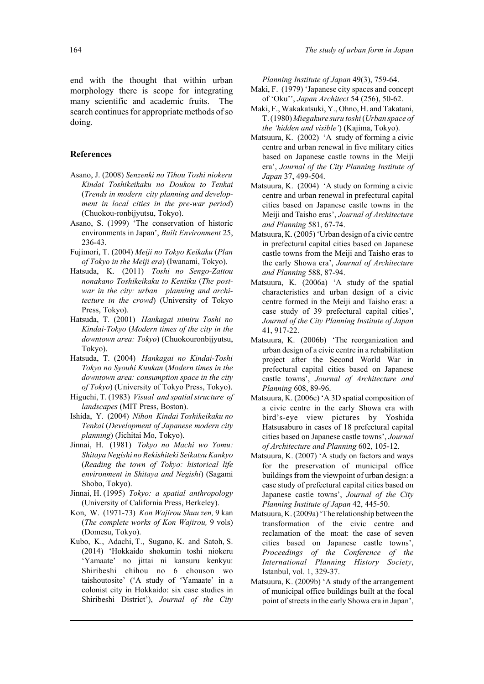end with the thought that within urban morphology there is scope for integrating many scientific and academic fruits. The search continues for appropriate methods of so doing.

#### **References**

- Asano, J. (2008) *Senzenki no Tihou Toshi niokeru Kindai Toshikeikaku no Doukou to Tenkai* (*Trends in modern city planning and development in local cities in the pre-war period*) (Chuokou-ronbijyutsu, Tokyo).
- Asano, S. (1999) 'The conservation of historic environments in Japan', *Built Environment* 25, 236-43.
- Fujimori, T. (2004) *Meiji no Tokyo Keikaku* (*Plan of Tokyo in the Meiji era*) (Iwanami, Tokyo).
- Hatsuda, K. (2011) *Toshi no Sengo-Zattou nonakano Toshikeikaku to Kentiku* (*The postwar in the city: urban planning and architecture in the crowd*) (University of Tokyo Press, Tokyo).
- Hatsuda, T. (2001) *Hankagai nimiru Toshi no Kindai-Tokyo* (*Modern times of the city in the downtown area: Tokyo*) (Chuokouronbijyutsu, Tokyo).
- Hatsuda, T. (2004) *Hankagai no Kindai-Toshi Tokyo no Syouhi Kuukan* (*Modern times in the downtown area: consumption space in the city of Tokyo*) (University of Tokyo Press, Tokyo).
- Higuchi, T. (1983) *Visual and spatial structure of landscapes* (MIT Press, Boston).
- Ishida, Y. (2004) *Nihon Kindai Toshikeikaku no Tenkai* (*Development of Japanese modern city planning*) (Jichitai Mo, Tokyo).
- Jinnai, H. (1981) *Tokyo no Machi wo Yomu: Shitaya Negishi no Rekishiteki Seikatsu Kankyo* (*Reading the town of Tokyo: historical life environment in Shitaya and Negishi*) (Sagami Shobo, Tokyo).
- Jinnai, H. (1995) *Tokyo: a spatial anthropology* (University of California Press, Berkeley).
- Kon, W. (1971-73) *Kon Wajirou Shuu zen,* 9 kan (*The complete works of Kon Wajirou,* 9 vols) (Domesu, Tokyo).
- Kubo, K., Adachi, T., Sugano, K. and Satoh, S. (2014) 'Hokkaido shokumin toshi niokeru 'Yamaate' no jittai ni kansuru kenkyu: Shiribeshi chihou no 6 chouson wo taishoutosite' ('A study of 'Yamaate' in a colonist city in Hokkaido: six case studies in Shiribeshi District'), *Journal of the City*

*Planning Institute of Japan* 49(3), 759-64.

- Maki, F. (1979) 'Japanese city spaces and concept of 'Oku'', *Japan Architect* 54 (256), 50-62.
- Maki, F., Wakakatsuki, Y., Ohno, H. and Takatani, T. (1980) *Miegakure suru toshi* (*Urban space of the 'hidden and visible'*) (Kajima, Tokyo).
- Matsuura, K. (2002) 'A study of forming a civic centre and urban renewal in five military cities based on Japanese castle towns in the Meiji era', *Journal of the City Planning Institute of Japan* 37, 499-504.
- Matsuura, K. (2004) 'A study on forming a civic centre and urban renewal in prefectural capital cities based on Japanese castle towns in the Meiji and Taisho eras', *Journal of Architecture and Planning* 581, 67-74.
- Matsuura, K. (2005) 'Urban design of a civic centre in prefectural capital cities based on Japanese castle towns from the Meiji and Taisho eras to the early Showa era', *Journal of Architecture and Planning* 588, 87-94.
- Matsuura, K. (2006a) 'A study of the spatial characteristics and urban design of a civic centre formed in the Meiji and Taisho eras: a case study of 39 prefectural capital cities', *Journal of the City Planning Institute of Japan* 41, 917-22.
- Matsuura, K. (2006b) 'The reorganization and urban design of a civic centre in a rehabilitation project after the Second World War in prefectural capital cities based on Japanese castle towns', *Journal of Architecture and Planning* 608, 89-96.
- Matsuura, K. (2006c) 'A 3D spatial composition of a civic centre in the early Showa era with bird's-eye view pictures by Yoshida Hatsusaburo in cases of 18 prefectural capital cities based on Japanese castle towns', *Journal of Architecture and Planning* 602, 105-12.
- Matsuura, K. (2007) 'A study on factors and ways for the preservation of municipal office buildings from the viewpoint of urban design: a case study of prefectural capital cities based on Japanese castle towns', *Journal of the City Planning Institute of Japan* 42, 445-50.
- Matsuura, K. (2009a) 'The relationship between the transformation of the civic centre and reclamation of the moat: the case of seven cities based on Japanese castle towns', *Proceedings of the Conference of the International Planning History Society*, Istanbul, vol. 1, 329-37.
- Matsuura, K. (2009b) 'A study of the arrangement of municipal office buildings built at the focal point of streets in the early Showa era in Japan',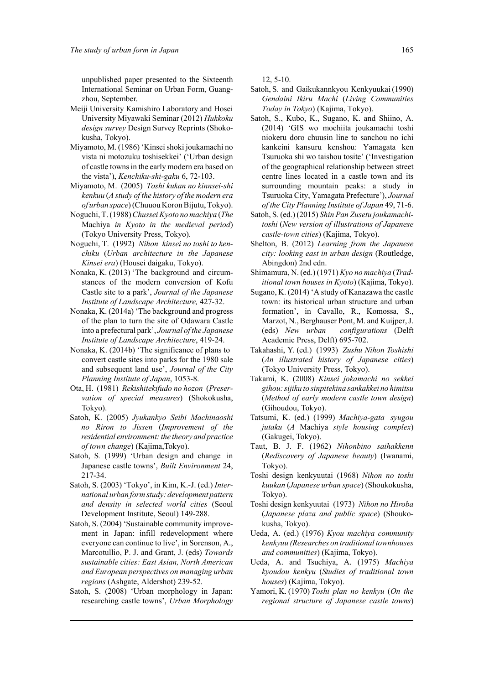unpublished paper presented to the Sixteenth International Seminar on Urban Form, Guangzhou, September.

- Meiji University Kamishiro Laboratory and Hosei University Miyawaki Seminar (2012) *Hukkoku design survey* Design Survey Reprints (Shokokusha, Tokyo).
- Miyamoto, M. (1986) 'Kinsei shoki joukamachi no vista ni motozuku toshisekkei' ('Urban design of castle towns in the early modern era based on the vista'), *Kenchiku-shi-gaku* 6, 72-103.
- Miyamoto, M. (2005) *Toshi kukan no kinnsei-shi kenkuu* (*A study of the history of the modern era of urban space*) (Chuuou Koron Bijutu, Tokyo).
- Noguchi, T. (1988) *Chussei Kyoto no machiya* (*The* Machiya *in Kyoto in the medieval period*) (Tokyo University Press, Tokyo).
- Noguchi, T. (1992) *Nihon kinsei no toshi to kenchiku* (*Urban architecture in the Japanese Kinsei era*) (Housei daigaku, Tokyo).
- Nonaka, K. (2013) 'The background and circumstances of the modern conversion of Kofu Castle site to a park', *Journal of the Japanese Institute of Landscape Architecture,* 427-32.
- Nonaka, K. (2014a) 'The background and progress of the plan to turn the site of Odawara Castle into a prefectural park', *Journal of the Japanese Institute of Landscape Architecture*, 419-24.
- Nonaka, K. (2014b) 'The significance of plans to convert castle sites into parks for the 1980 sale and subsequent land use', *Journal of the City Planning Institute of Japan*, 1053-8.
- Ota, H. (1981) *Rekishitekifudo no hozon* (*Preservation of special measures*) (Shokokusha, Tokyo).
- Satoh, K. (2005) *Jyukankyo Seibi Machinaoshi no Riron to Jissen* (*Improvement of the residential environment: the theory and practice of town change*) (Kajima,Tokyo).
- Satoh, S*.* (1999) 'Urban design and change in Japanese castle towns', *Built Environment* 24, 217-34.
- Satoh, S. (2003) 'Tokyo', in Kim, K.-J. (ed.) *International urban form study: development pattern and density in selected world cities* (Seoul Development Institute, Seoul) 149-288.
- Satoh, S. (2004) 'Sustainable community improvement in Japan: infill redevelopment where everyone can continue to live', in Sorenson, A., Marcotullio, P. J. and Grant, J. (eds) *Towards sustainable cities: East Asian, North American and European perspectives on managing urban regions* (Ashgate, Aldershot) 239-52.
- Satoh, S. (2008) 'Urban morphology in Japan: researching castle towns', *Urban Morphology*

12, 5-10.

- Satoh, S. and Gaikukannkyou Kenkyuukai (1990) *Gendaini Ikiru Machi* (*Living Communities Today in Tokyo*) (Kajima, Tokyo).
- Satoh, S., Kubo, K., Sugano, K. and Shiino, A. (2014) 'GIS wo mochiita joukamachi toshi niokeru doro chuusin line to sanchou no ichi kankeini kansuru kenshou: Yamagata ken Tsuruoka shi wo taishou tosite' ('Investigation of the geographical relationship between street centre lines located in a castle town and its surrounding mountain peaks: a study in Tsuruoka City, Yamagata Prefecture'), *Journal of the City Planning Institute of Japan* 49, 71-6.
- Satoh, S. (ed.) (2015) *Shin Pan Zusetu joukamachitoshi* (*New version of illustrations of Japanese castle-town cities*) (Kajima, Tokyo).
- Shelton, B. (2012) *Learning from the Japanese city: looking east in urban design* (Routledge, Abingdon) 2nd edn.
- Shimamura, N. (ed.) (1971) *Kyo no machiya* (*Traditional town houses in Kyoto*) (Kajima, Tokyo).
- Sugano, K. (2014) 'A study of Kanazawa the castle town: its historical urban structure and urban formation', in Cavallo, R., Komossa, S., Marzot, N., Berghauser Pont, M. and Kuijper, J. (eds) *New urban configurations* (Delft Academic Press, Delft) 695-702.
- Takahashi, Y. (ed.) (1993) *Zushu Nihon Toshishi* (*An illustrated history of Japanese cities*) (Tokyo University Press, Tokyo).
- Takami, K. (2008) *Kinsei jokamachi no sekkei gihou: sijiku to sinpitekina sankakkei no himitsu* (*Method of early modern castle town design*) (Gihoudou, Tokyo).
- Tatsumi, K. (ed.) (1999) *Machiya-gata syugou jutaku* (*A* Machiya *style housing complex*) (Gakugei, Tokyo).
- Taut, B. J. F. (1962) *Nihonbino saihakkenn* (*Rediscovery of Japanese beauty*) (Iwanami, Tokyo).
- Toshi design kenkyuutai (1968) *Nihon no toshi kuukan* (*Japanese urban space*) (Shoukokusha, Tokyo).
- Toshi design kenkyuutai (1973) *Nihon no Hiroba* (*Japanese plaza and public space*) (Shoukokusha, Tokyo).
- Ueda, A. (ed.) (1976) *Kyou machiya community kenkyuu (Researches on traditional townhouses and communities*) (Kajima, Tokyo).
- Ueda, A. and Tsuchiya, A. (1975) *Machiya kyoudou kenkyu* (*Studies of traditional town houses*) (Kajima, Tokyo).
- Yamori, K. (1970) *Toshi plan no kenkyu* (*On the regional structure of Japanese castle towns*)